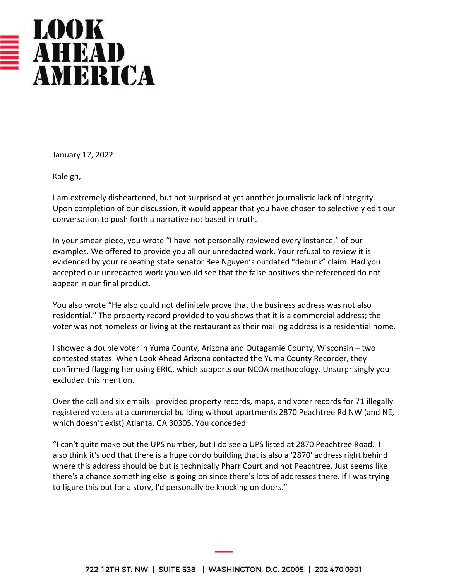

January 17, 2022

Kaleigh,

I am extremely disheartened, but not surprised at yet another journalistic lack of integrity. Upon completion of our discussion, it would appear that you have chosen to selectively edit our conversation to push forth a narrative not based in truth.

In your smear piece, you wrote "I have not personally reviewed every instance," of our examples. We offered to provide you all our unredacted work. Your refusal to review it is evidenced by your repeating state senator Bee Nguyen's outdated "debunk" claim. Had you accepted our unredacted work you would see that the false positives she referenced do not appear in our final product.

You also wrote "He also could not definitely prove that the business address was not also residential." The property record provided to you shows that it is a commercial address; the voter was not homeless or living at the restaurant as their mailing address is a residential home.

I showed a double voter in Yuma County, Arizona and Outagamie County, Wisconsin – two contested states. When Look Ahead Arizona contacted the Yuma County Recorder, they confirmed flagging her using ERIC, which supports our NCOA methodology. Unsurprisingly you excluded this mention.

Over the call and six emails I provided property records, maps, and voter records for 71 illegally registered voters at a commercial building without apartments 2870 Peachtree Rd NW (and NE, which doesn't exist) Atlanta, GA 30305. You conceded:

"I can't quite make out the UPS number, but I do see a UPS listed at 2870 Peachtree Road. I also think it's odd that there is a huge condo building that is also a '2870' address right behind where this address should be but is technically Pharr Court and not Peachtree. Just seems like there's a chance something else is going on since there's lots of addresses there. If I was trying to figure this out for a story, I'd personally be knocking on doors."